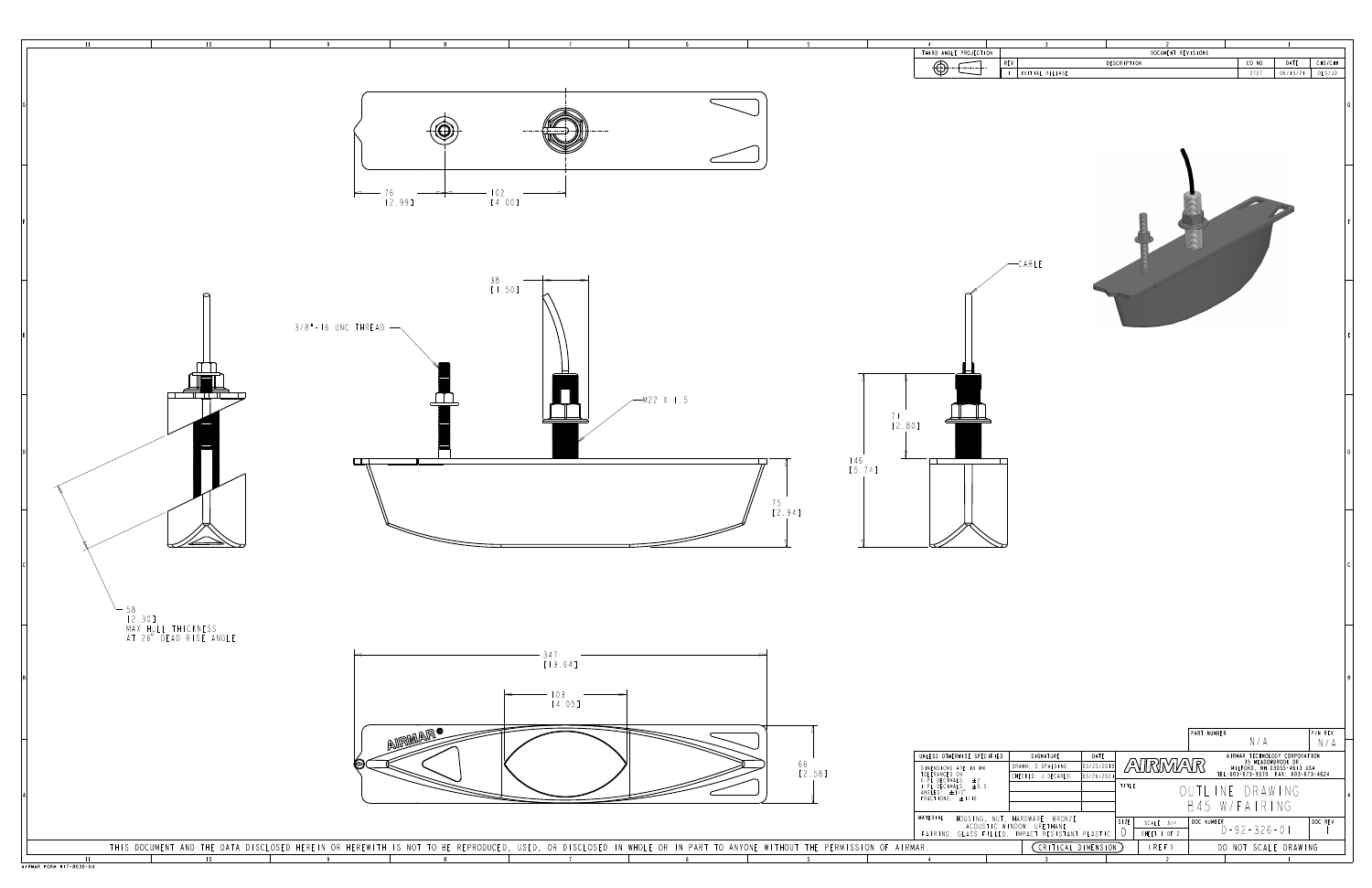

|  |  |  |  |  |  |  |  |  |  |  |  |  | D, USED, OR DISCLOSED IN WHOLE OR IN PART TO ANYONE WITHOUT THE PERMISSION OF AIRMAR. |  |  |  |
|--|--|--|--|--|--|--|--|--|--|--|--|--|---------------------------------------------------------------------------------------|--|--|--|
|--|--|--|--|--|--|--|--|--|--|--|--|--|---------------------------------------------------------------------------------------|--|--|--|

|                                                                                                      | THIRD ANGLE PROJECTION<br>REV<br>$\bigoplus$<br>.                                                                                                    | DOCUMENT REVISIONS<br>DESCRIPTION                                                                          | CO NO.<br>DATE<br>CHG/CHK                                                                                                                                       |
|------------------------------------------------------------------------------------------------------|------------------------------------------------------------------------------------------------------------------------------------------------------|------------------------------------------------------------------------------------------------------------|-----------------------------------------------------------------------------------------------------------------------------------------------------------------|
|                                                                                                      |                                                                                                                                                      | INITIAL RELEASE                                                                                            | 2727<br>06/15/21<br>DLS/JD                                                                                                                                      |
| .                                                                                                    |                                                                                                                                                      |                                                                                                            |                                                                                                                                                                 |
|                                                                                                      |                                                                                                                                                      | CABLE                                                                                                      |                                                                                                                                                                 |
|                                                                                                      |                                                                                                                                                      |                                                                                                            |                                                                                                                                                                 |
| 鼍<br>$-M22 X 1.5$                                                                                    | 71<br>[2.80]<br>$146$<br>[5.74]                                                                                                                      |                                                                                                            |                                                                                                                                                                 |
| 75<br>[2.94]                                                                                         | $\infty$<br>$\sum\!\!D$                                                                                                                              |                                                                                                            |                                                                                                                                                                 |
|                                                                                                      |                                                                                                                                                      |                                                                                                            |                                                                                                                                                                 |
| 4 ]<br>5]                                                                                            |                                                                                                                                                      |                                                                                                            |                                                                                                                                                                 |
| 66<br>[2.58]                                                                                         | UNLESS OTHERWISE SPECIFIED<br>DIMENSIONS ARE IN MM<br>TOLERANCES ON<br>O PL DECIMALS: ±2<br>I PL DECIMALS: ±0.5<br>ANGLES: ±1/2°<br>FRACTIONS: ±1/16 | SIGNATURE<br>DATE<br>AVRMAR<br>05/25/201<br>DRAWN: D.SPALDING<br>CHECKED: J.DECARLO<br>05/26/2021<br>TITLE | P/N REV<br>PART NUMBER<br>N/A<br>N/A<br>AIRMAR TECHNOLOGY CORPORATION<br>35 MEADOWBROOK DR.<br>MILFORD, NH 03055-4613 USA<br>TEL:603-673-9570 FAX: 603-673-4624 |
| $\overline{\phantom{m}}$<br>ISCLOSED IN WHOLE OR IN PART TO ANYONE WITHOUT THE PERMISSION OF AIRMAR. | MATERIAL<br>HOUSING, NUT, HARDWARE: BRONZE<br>  ACOUSTIC WINDOW: URETHANE<br>  FAIRING: GLASS FILLED, IMPACT RESISTANT PLASTIC                       | SIZE <br>SCALE: 3/4<br>$\bigcup$<br>SHEET   OF 2<br>(CRITICAL DIMENSION)<br>(REF)                          | B45 W/FAIRING<br>DOC NUMBER<br>DOC REV<br>$D - 92 - 326 - 01$<br>DO NOT SCALE DRAWING                                                                           |
| 5 <sup>5</sup><br>6 <sup>6</sup>                                                                     | $\overline{4}$                                                                                                                                       | $\overline{c}$<br>$\overline{\mathbf{3}}$                                                                  |                                                                                                                                                                 |
|                                                                                                      |                                                                                                                                                      |                                                                                                            |                                                                                                                                                                 |